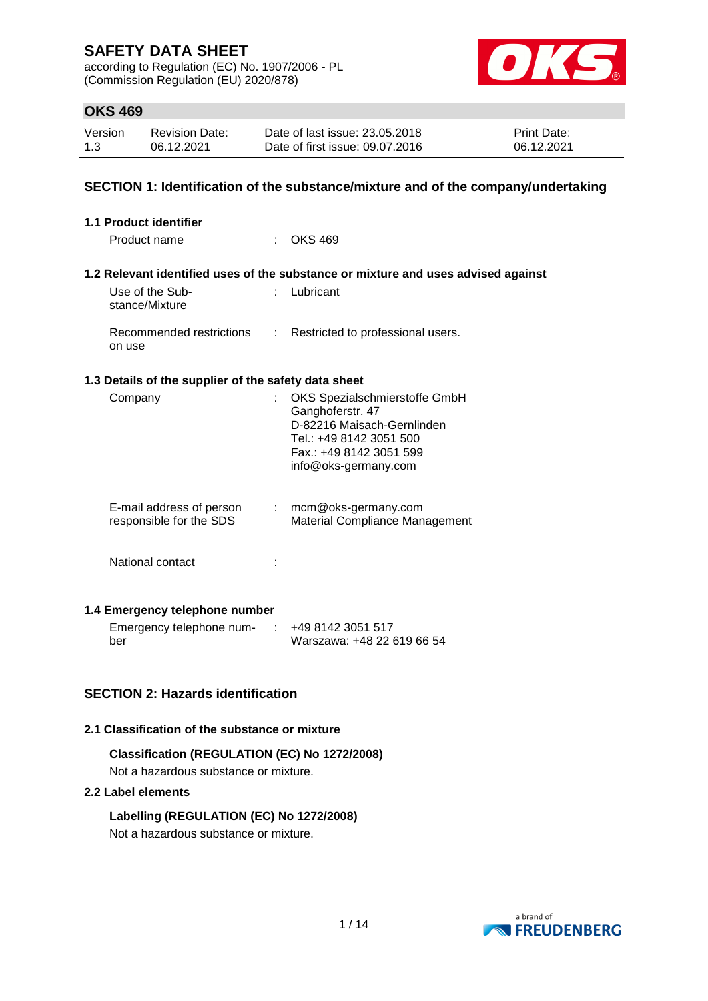according to Regulation (EC) No. 1907/2006 - PL (Commission Regulation (EU) 2020/878)



### **OKS 469**

| Version | <b>Revision Date:</b> | Date of last issue: 23.05.2018  | <b>Print Date:</b> |
|---------|-----------------------|---------------------------------|--------------------|
| 1.3     | 06.12.2021            | Date of first issue: 09.07.2016 | 06.12.2021         |

### **SECTION 1: Identification of the substance/mixture and of the company/undertaking**

| <b>1.1 Product identifier</b>                        |                                                                                                                                                               |
|------------------------------------------------------|---------------------------------------------------------------------------------------------------------------------------------------------------------------|
| Product name                                         | <b>OKS 469</b>                                                                                                                                                |
|                                                      | 1.2 Relevant identified uses of the substance or mixture and uses advised against                                                                             |
| Use of the Sub-<br>stance/Mixture                    | : Lubricant                                                                                                                                                   |
| Recommended restrictions<br>on use                   | : Restricted to professional users.                                                                                                                           |
| 1.3 Details of the supplier of the safety data sheet |                                                                                                                                                               |
| Company                                              | OKS Spezialschmierstoffe GmbH<br>Ganghoferstr. 47<br>D-82216 Maisach-Gernlinden<br>Tel.: +49 8142 3051 500<br>Fax.: +49 8142 3051 599<br>info@oks-germany.com |
| E-mail address of person<br>responsible for the SDS  | $:$ mcm@oks-germany.com<br>Material Compliance Management                                                                                                     |
| National contact                                     |                                                                                                                                                               |
| 1.4 Emergency telephone number                       |                                                                                                                                                               |
| Emergency telephone num-                             | $\div$ +49 8142 3051 517                                                                                                                                      |

### **SECTION 2: Hazards identification**

#### **2.1 Classification of the substance or mixture**

**Classification (REGULATION (EC) No 1272/2008)** Not a hazardous substance or mixture.

### **2.2 Label elements**

ber

**Labelling (REGULATION (EC) No 1272/2008)** Not a hazardous substance or mixture.



Warszawa: +48 22 619 66 54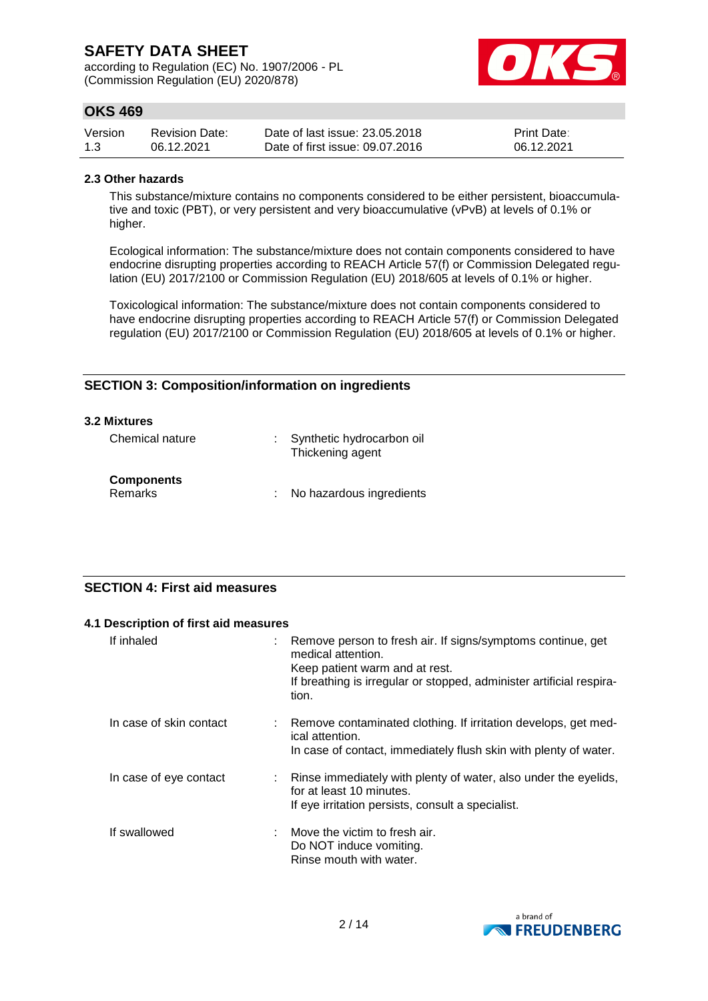according to Regulation (EC) No. 1907/2006 - PL (Commission Regulation (EU) 2020/878)



### **OKS 469**

| Version | <b>Revision Date:</b> | Date of last issue: 23.05.2018  | <b>Print Date:</b> |
|---------|-----------------------|---------------------------------|--------------------|
| 1.3     | 06.12.2021            | Date of first issue: 09.07.2016 | 06.12.2021         |

#### **2.3 Other hazards**

This substance/mixture contains no components considered to be either persistent, bioaccumulative and toxic (PBT), or very persistent and very bioaccumulative (vPvB) at levels of 0.1% or higher.

Ecological information: The substance/mixture does not contain components considered to have endocrine disrupting properties according to REACH Article 57(f) or Commission Delegated regulation (EU) 2017/2100 or Commission Regulation (EU) 2018/605 at levels of 0.1% or higher.

Toxicological information: The substance/mixture does not contain components considered to have endocrine disrupting properties according to REACH Article 57(f) or Commission Delegated regulation (EU) 2017/2100 or Commission Regulation (EU) 2018/605 at levels of 0.1% or higher.

### **SECTION 3: Composition/information on ingredients**

| 3.2 Mixtures                        |                                               |
|-------------------------------------|-----------------------------------------------|
| Chemical nature                     | Synthetic hydrocarbon oil<br>Thickening agent |
| <b>Components</b><br><b>Remarks</b> | No hazardous ingredients                      |

### **SECTION 4: First aid measures**

| 4.1 Description of first aid measures |                                                                                                                                                                                                      |
|---------------------------------------|------------------------------------------------------------------------------------------------------------------------------------------------------------------------------------------------------|
| If inhaled                            | Remove person to fresh air. If signs/symptoms continue, get<br>medical attention.<br>Keep patient warm and at rest.<br>If breathing is irregular or stopped, administer artificial respira-<br>tion. |
| In case of skin contact               | : Remove contaminated clothing. If irritation develops, get med-<br>ical attention.<br>In case of contact, immediately flush skin with plenty of water.                                              |
| In case of eye contact                | Rinse immediately with plenty of water, also under the eyelids,<br>for at least 10 minutes.<br>If eye irritation persists, consult a specialist.                                                     |
| If swallowed                          | Move the victim to fresh air.<br>Do NOT induce vomiting.<br>Rinse mouth with water.                                                                                                                  |

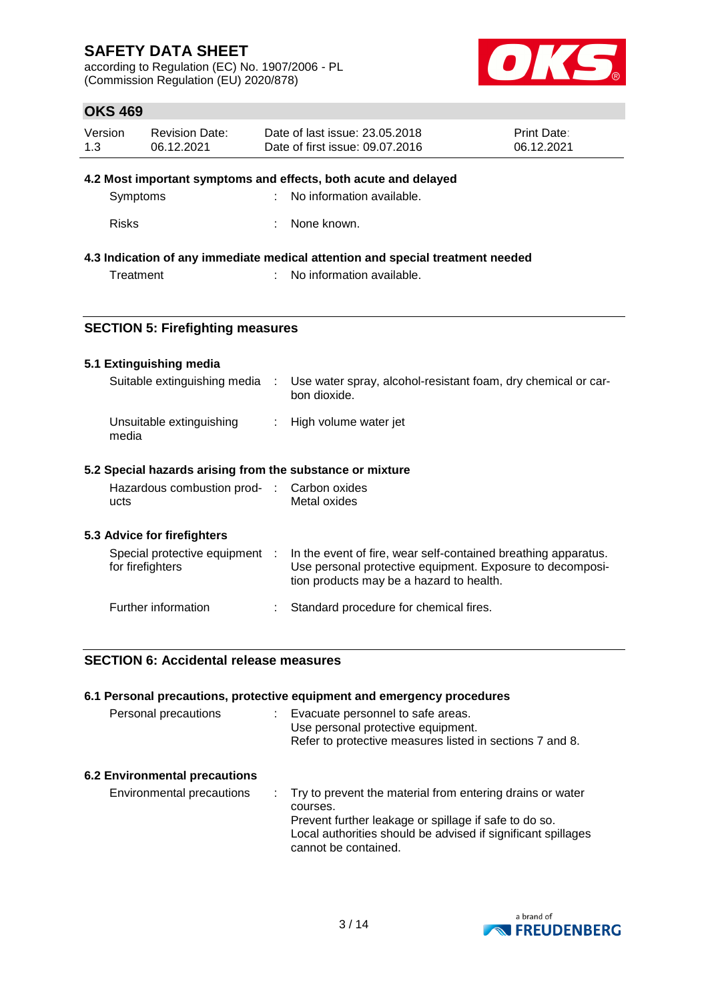according to Regulation (EC) No. 1907/2006 - PL (Commission Regulation (EU) 2020/878)



### **OKS 469**

| Version | <b>Revision Date:</b> | Date of last issue: 23.05.2018  | <b>Print Date:</b> |
|---------|-----------------------|---------------------------------|--------------------|
| 1.3     | 06.12.2021            | Date of first issue: 09.07.2016 | 06.12.2021         |

#### **4.2 Most important symptoms and effects, both acute and delayed**

| Symptoms | : No information available. |
|----------|-----------------------------|
|          |                             |

Risks : None known.

### **4.3 Indication of any immediate medical attention and special treatment needed**

Treatment : No information available.

### **SECTION 5: Firefighting measures**

### **5.1 Extinguishing media**

| Suitable extinguishing media      | Use water spray, alcohol-resistant foam, dry chemical or car-<br>bon dioxide. |
|-----------------------------------|-------------------------------------------------------------------------------|
| Unsuitable extinguishing<br>media | : High volume water jet                                                       |

### **5.2 Special hazards arising from the substance or mixture**

| Hazardous combustion prod- | : Carbon oxides |
|----------------------------|-----------------|
| ucts                       | Metal oxides    |

### **5.3 Advice for firefighters**

| Special protective equipment<br>for firefighters | In the event of fire, wear self-contained breathing apparatus.<br>Use personal protective equipment. Exposure to decomposi-<br>tion products may be a hazard to health. |
|--------------------------------------------------|-------------------------------------------------------------------------------------------------------------------------------------------------------------------------|
| Further information                              | : Standard procedure for chemical fires.                                                                                                                                |

### **SECTION 6: Accidental release measures**

|                                      | 6.1 Personal precautions, protective equipment and emergency procedures                                                                                                                                                  |
|--------------------------------------|--------------------------------------------------------------------------------------------------------------------------------------------------------------------------------------------------------------------------|
| Personal precautions                 | Evacuate personnel to safe areas.<br>Use personal protective equipment.<br>Refer to protective measures listed in sections 7 and 8.                                                                                      |
| <b>6.2 Environmental precautions</b> |                                                                                                                                                                                                                          |
| Environmental precautions            | : Try to prevent the material from entering drains or water<br>courses.<br>Prevent further leakage or spillage if safe to do so.<br>Local authorities should be advised if significant spillages<br>cannot be contained. |

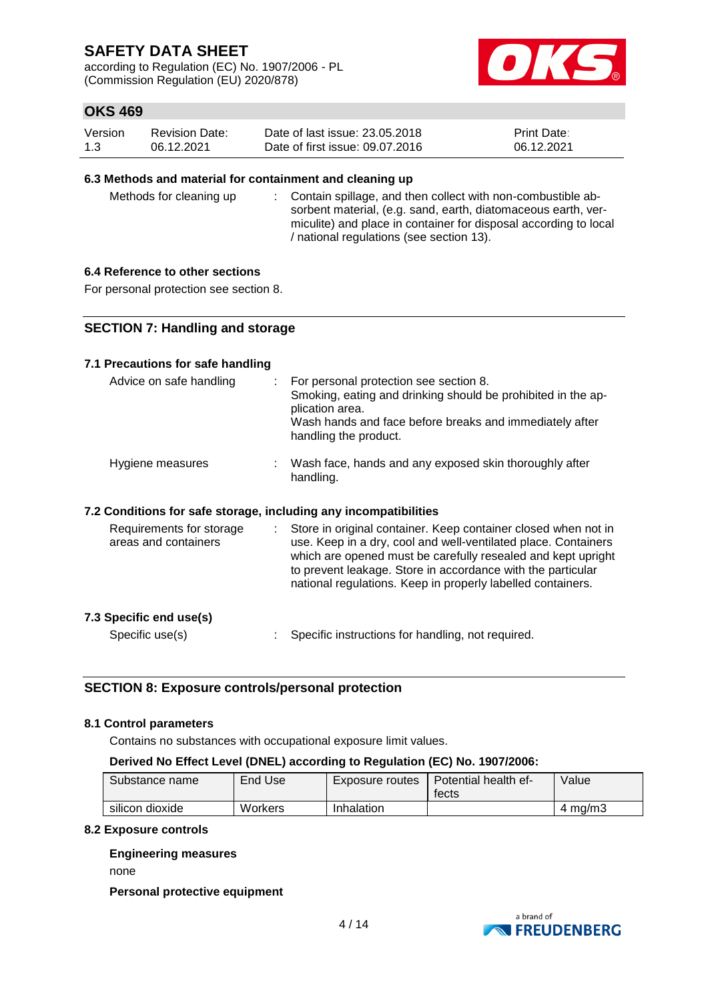according to Regulation (EC) No. 1907/2006 - PL (Commission Regulation (EU) 2020/878)



### **OKS 469**

| Version | <b>Revision Date:</b> | Date of last issue: 23.05.2018  | <b>Print Date:</b> |
|---------|-----------------------|---------------------------------|--------------------|
| 1.3     | 06.12.2021            | Date of first issue: 09.07.2016 | 06.12.2021         |

#### **6.3 Methods and material for containment and cleaning up**

Methods for cleaning up : Contain spillage, and then collect with non-combustible absorbent material, (e.g. sand, earth, diatomaceous earth, vermiculite) and place in container for disposal according to local / national regulations (see section 13).

### **6.4 Reference to other sections**

For personal protection see section 8.

### **SECTION 7: Handling and storage**

#### **7.1 Precautions for safe handling**

| Advice on safe handling                                          | For personal protection see section 8.<br>Smoking, eating and drinking should be prohibited in the ap-<br>plication area.<br>Wash hands and face before breaks and immediately after<br>handling the product.                                                                                                                  |
|------------------------------------------------------------------|--------------------------------------------------------------------------------------------------------------------------------------------------------------------------------------------------------------------------------------------------------------------------------------------------------------------------------|
| Hygiene measures                                                 | Wash face, hands and any exposed skin thoroughly after<br>handling.                                                                                                                                                                                                                                                            |
| 7.2 Conditions for safe storage, including any incompatibilities |                                                                                                                                                                                                                                                                                                                                |
| Requirements for storage<br>areas and containers                 | Store in original container. Keep container closed when not in<br>use. Keep in a dry, cool and well-ventilated place. Containers<br>which are opened must be carefully resealed and kept upright<br>to prevent leakage. Store in accordance with the particular<br>national regulations. Keep in properly labelled containers. |

### **7.3 Specific end use(s)**

- 
- Specific use(s) : Specific instructions for handling, not required.

### **SECTION 8: Exposure controls/personal protection**

#### **8.1 Control parameters**

Contains no substances with occupational exposure limit values.

#### **Derived No Effect Level (DNEL) according to Regulation (EC) No. 1907/2006:**

| Substance name  | End Use | Exposure routes | Potential health ef-<br>tects | Value              |
|-----------------|---------|-----------------|-------------------------------|--------------------|
| silicon dioxide | Workers | Inhalation      |                               | $4 \text{ ma/m}$ 3 |

#### **8.2 Exposure controls**

#### **Engineering measures**

none

#### **Personal protective equipment**

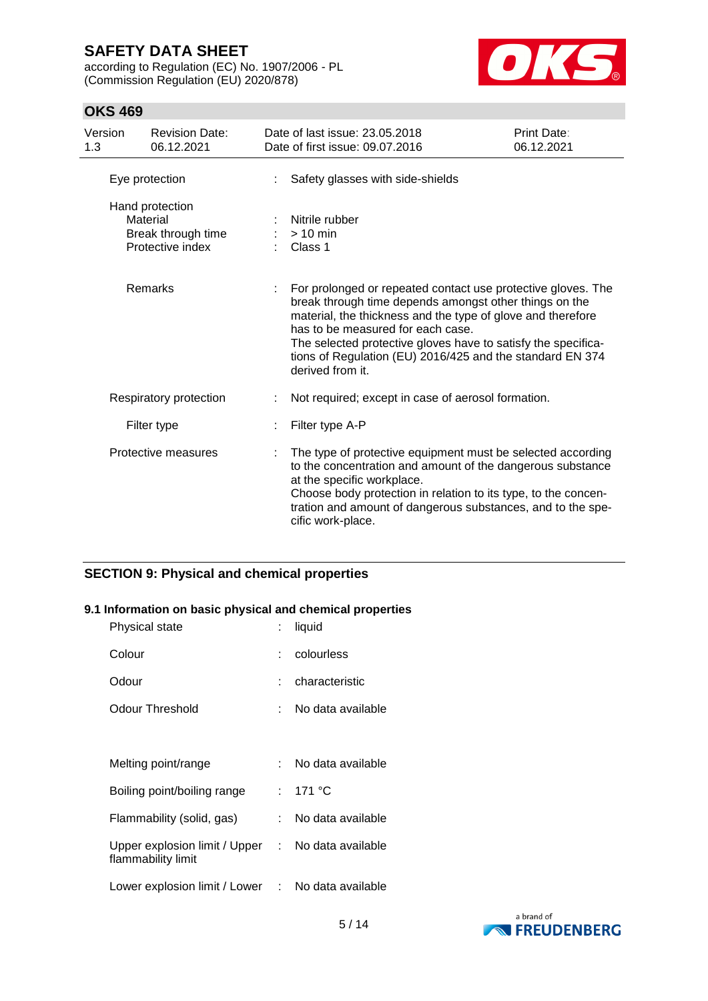according to Regulation (EC) No. 1907/2006 - PL (Commission Regulation (EU) 2020/878)



### **OKS 469**

| Version<br>1.3 | <b>Revision Date:</b><br>06.12.2021                                   |   | Date of last issue: 23.05.2018<br>Date of first issue: 09.07.2016                                                                                                                                                                                                                                                                                                            | Print Date:<br>06.12.2021 |
|----------------|-----------------------------------------------------------------------|---|------------------------------------------------------------------------------------------------------------------------------------------------------------------------------------------------------------------------------------------------------------------------------------------------------------------------------------------------------------------------------|---------------------------|
|                | Eye protection                                                        |   | Safety glasses with side-shields                                                                                                                                                                                                                                                                                                                                             |                           |
|                | Hand protection<br>Material<br>Break through time<br>Protective index |   | Nitrile rubber<br>$>10$ min<br>Class 1                                                                                                                                                                                                                                                                                                                                       |                           |
|                | Remarks                                                               |   | For prolonged or repeated contact use protective gloves. The<br>break through time depends amongst other things on the<br>material, the thickness and the type of glove and therefore<br>has to be measured for each case.<br>The selected protective gloves have to satisfy the specifica-<br>tions of Regulation (EU) 2016/425 and the standard EN 374<br>derived from it. |                           |
|                | Respiratory protection                                                |   | Not required; except in case of aerosol formation.                                                                                                                                                                                                                                                                                                                           |                           |
|                | Filter type                                                           |   | Filter type A-P                                                                                                                                                                                                                                                                                                                                                              |                           |
|                | Protective measures                                                   | ÷ | The type of protective equipment must be selected according<br>to the concentration and amount of the dangerous substance<br>at the specific workplace.<br>Choose body protection in relation to its type, to the concen-<br>tration and amount of dangerous substances, and to the spe-<br>cific work-place.                                                                |                           |

### **SECTION 9: Physical and chemical properties**

### **9.1 Information on basic physical and chemical properties**

| Physical state                                                          | t.  | liquid              |
|-------------------------------------------------------------------------|-----|---------------------|
| Colour                                                                  | t.  | colourless          |
| Odour                                                                   | ٠.  | characteristic      |
| Odour Threshold                                                         | ٠.  | No data available   |
|                                                                         |     |                     |
| Melting point/range                                                     | × 1 | No data available   |
| Boiling point/boiling range                                             |     | : 171 °C            |
| Flammability (solid, gas)                                               | t.  | No data available   |
| Upper explosion limit / Upper : No data available<br>flammability limit |     |                     |
| Lower explosion limit / Lower                                           |     | : No data available |

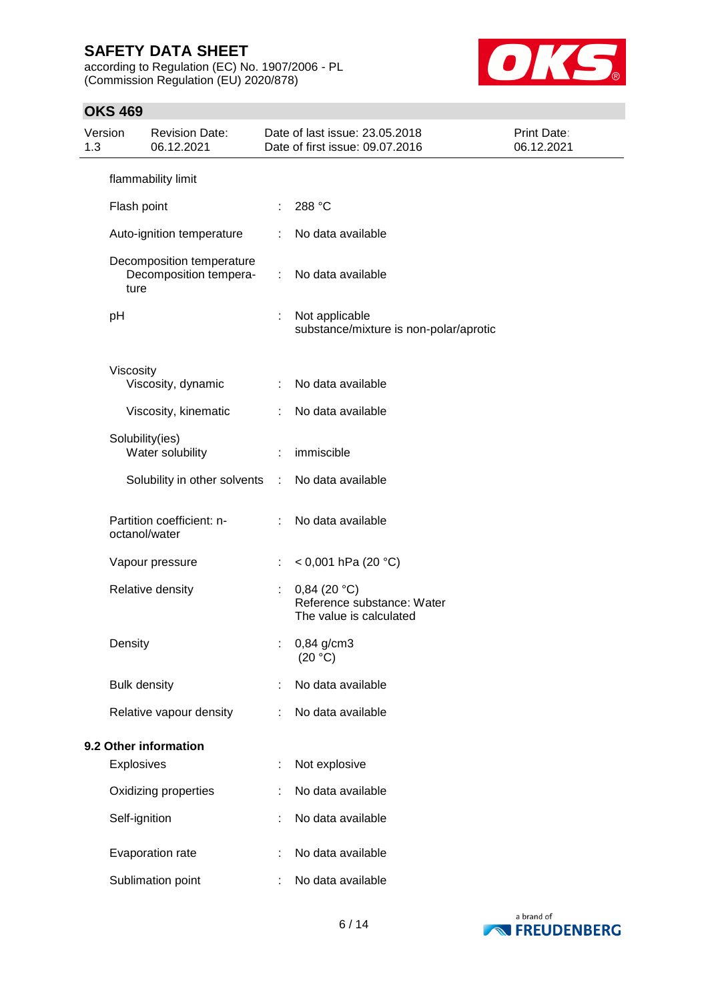according to Regulation (EC) No. 1907/2006 - PL (Commission Regulation (EU) 2020/878)



### **OKS 469**

| 1.3 | Version             | <b>Revision Date:</b><br>06.12.2021                 |                             | Date of last issue: 23.05.2018<br>Date of first issue: 09.07.2016       | <b>Print Date:</b><br>06.12.2021 |
|-----|---------------------|-----------------------------------------------------|-----------------------------|-------------------------------------------------------------------------|----------------------------------|
|     |                     | flammability limit                                  |                             |                                                                         |                                  |
|     | Flash point         |                                                     | ÷                           | 288 °C                                                                  |                                  |
|     |                     | Auto-ignition temperature                           | ÷                           | No data available                                                       |                                  |
|     | ture                | Decomposition temperature<br>Decomposition tempera- | $\mathcal{L}^{\mathcal{L}}$ | No data available                                                       |                                  |
|     | pH                  |                                                     |                             | Not applicable<br>substance/mixture is non-polar/aprotic                |                                  |
|     | Viscosity           | Viscosity, dynamic                                  | ÷                           | No data available                                                       |                                  |
|     |                     | Viscosity, kinematic                                | ÷                           | No data available                                                       |                                  |
|     | Solubility(ies)     | Water solubility                                    | ÷                           | immiscible                                                              |                                  |
|     |                     | Solubility in other solvents                        | $\mathcal{L}$               | No data available                                                       |                                  |
|     | octanol/water       | Partition coefficient: n-                           | ÷                           | No data available                                                       |                                  |
|     |                     | Vapour pressure                                     | ÷                           | < 0,001 hPa (20 °C)                                                     |                                  |
|     |                     | Relative density                                    | ÷                           | $0,84$ (20 °C)<br>Reference substance: Water<br>The value is calculated |                                  |
|     | Density             |                                                     |                             | $0,84$ g/cm3<br>(20 °C)                                                 |                                  |
|     | <b>Bulk density</b> |                                                     |                             | No data available                                                       |                                  |
|     |                     | Relative vapour density                             |                             | No data available                                                       |                                  |
|     |                     | 9.2 Other information                               |                             |                                                                         |                                  |
|     | <b>Explosives</b>   |                                                     | t                           | Not explosive                                                           |                                  |
|     |                     | Oxidizing properties                                |                             | No data available                                                       |                                  |
|     | Self-ignition       |                                                     | ÷                           | No data available                                                       |                                  |
|     |                     | Evaporation rate                                    |                             | No data available                                                       |                                  |
|     |                     | Sublimation point                                   | ÷                           | No data available                                                       |                                  |

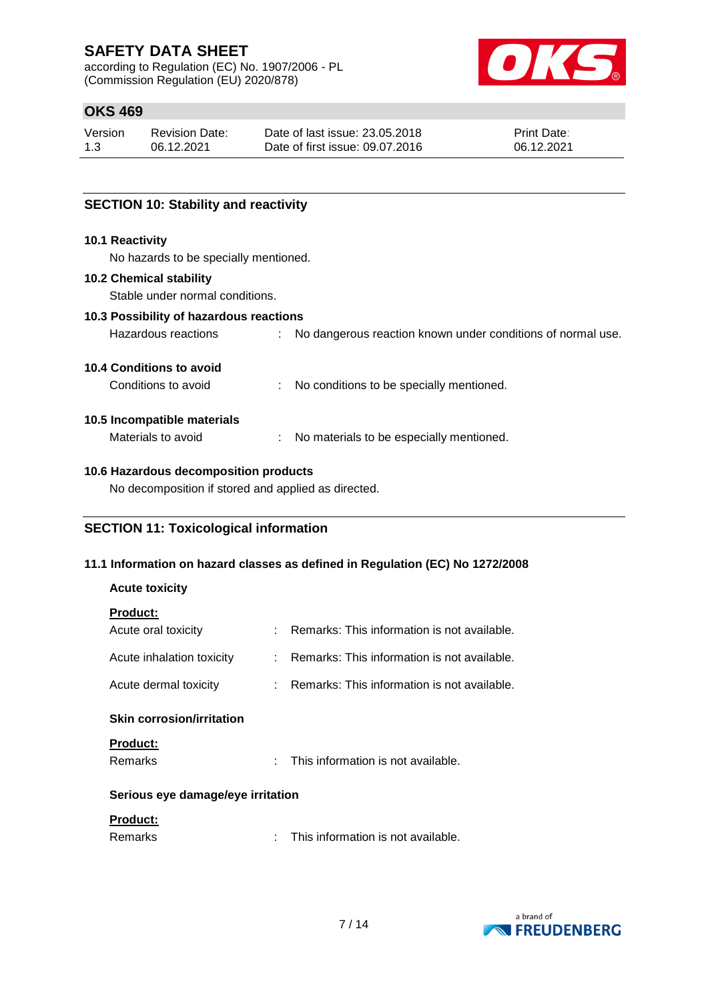according to Regulation (EC) No. 1907/2006 - PL (Commission Regulation (EU) 2020/878)



### **OKS 469**

| Version | <b>Revision Date:</b> | Date of last issue: 23,05,2018  | <b>Print Date:</b> |
|---------|-----------------------|---------------------------------|--------------------|
| 1.3     | 06.12.2021            | Date of first issue: 09.07.2016 | 06.12.2021         |

### **SECTION 10: Stability and reactivity**

#### **10.1 Reactivity**

No hazards to be specially mentioned.

#### **10.2 Chemical stability**

Stable under normal conditions.

## **10.3 Possibility of hazardous reactions**

| Hazardous reactions | No dangerous reaction known under conditions of normal use. |
|---------------------|-------------------------------------------------------------|
|                     |                                                             |

### **10.4 Conditions to avoid**

| Conditions to avoid | No conditions to be specially mentioned. |
|---------------------|------------------------------------------|
|                     |                                          |

#### **10.5 Incompatible materials**

Materials to avoid : No materials to be especially mentioned.

### **10.6 Hazardous decomposition products**

No decomposition if stored and applied as directed.

### **SECTION 11: Toxicological information**

### **11.1 Information on hazard classes as defined in Regulation (EC) No 1272/2008**

### **Acute toxicity**

|--|

| - - - - - - -<br>Acute oral toxicity |    | Remarks: This information is not available.   |
|--------------------------------------|----|-----------------------------------------------|
| Acute inhalation toxicity            |    | : Remarks: This information is not available. |
| Acute dermal toxicity                |    | Remarks: This information is not available.   |
| <b>Skin corrosion/irritation</b>     |    |                                               |
| <b>Product:</b><br>Remarks           | ٠. | This information is not available.            |
| Serious eye damage/eye irritation    |    |                                               |
| <b>Product:</b>                      |    |                                               |

| Remarks | This information is not available. |
|---------|------------------------------------|
|---------|------------------------------------|

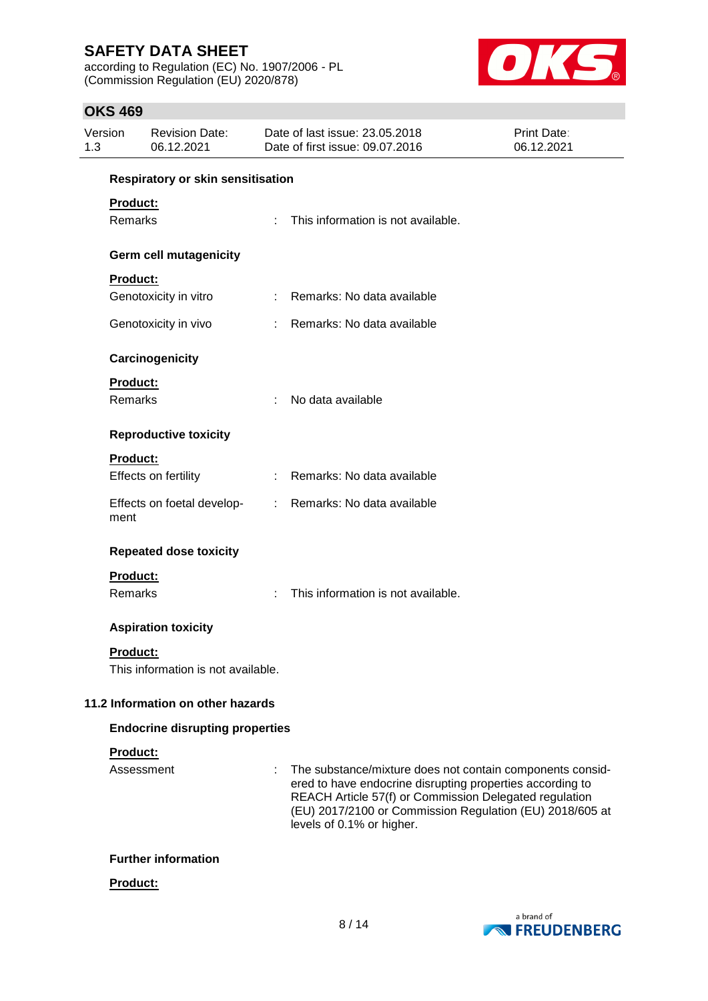according to Regulation (EC) No. 1907/2006 - PL (Commission Regulation (EU) 2020/878)



### **OKS 469**

| Version<br><b>Revision Date:</b><br>1.3<br>06.12.2021 |                                        |                                    | Date of last issue: 23.05.2018<br>Date of first issue: 09.07.2016 | Print Date:<br>06.12.2021                                                                                                                                                                                                                                                 |  |  |  |
|-------------------------------------------------------|----------------------------------------|------------------------------------|-------------------------------------------------------------------|---------------------------------------------------------------------------------------------------------------------------------------------------------------------------------------------------------------------------------------------------------------------------|--|--|--|
|                                                       |                                        | Respiratory or skin sensitisation  |                                                                   |                                                                                                                                                                                                                                                                           |  |  |  |
|                                                       | Product:                               |                                    |                                                                   |                                                                                                                                                                                                                                                                           |  |  |  |
|                                                       | <b>Remarks</b>                         |                                    | ÷                                                                 | This information is not available.                                                                                                                                                                                                                                        |  |  |  |
|                                                       |                                        | <b>Germ cell mutagenicity</b>      |                                                                   |                                                                                                                                                                                                                                                                           |  |  |  |
|                                                       | <b>Product:</b>                        |                                    |                                                                   |                                                                                                                                                                                                                                                                           |  |  |  |
|                                                       |                                        | Genotoxicity in vitro              | t.                                                                | Remarks: No data available                                                                                                                                                                                                                                                |  |  |  |
|                                                       |                                        | Genotoxicity in vivo               |                                                                   | Remarks: No data available                                                                                                                                                                                                                                                |  |  |  |
|                                                       | Carcinogenicity                        |                                    |                                                                   |                                                                                                                                                                                                                                                                           |  |  |  |
|                                                       | Product:                               |                                    |                                                                   |                                                                                                                                                                                                                                                                           |  |  |  |
|                                                       | <b>Remarks</b>                         |                                    | ÷                                                                 | No data available                                                                                                                                                                                                                                                         |  |  |  |
|                                                       |                                        | <b>Reproductive toxicity</b>       |                                                                   |                                                                                                                                                                                                                                                                           |  |  |  |
|                                                       | Product:                               |                                    |                                                                   |                                                                                                                                                                                                                                                                           |  |  |  |
|                                                       |                                        | Effects on fertility               |                                                                   | Remarks: No data available                                                                                                                                                                                                                                                |  |  |  |
|                                                       | ment                                   | Effects on foetal develop-         | ÷.                                                                | Remarks: No data available                                                                                                                                                                                                                                                |  |  |  |
|                                                       |                                        | <b>Repeated dose toxicity</b>      |                                                                   |                                                                                                                                                                                                                                                                           |  |  |  |
|                                                       | <b>Product:</b>                        |                                    |                                                                   |                                                                                                                                                                                                                                                                           |  |  |  |
|                                                       | Remarks                                |                                    |                                                                   | This information is not available.                                                                                                                                                                                                                                        |  |  |  |
|                                                       |                                        | <b>Aspiration toxicity</b>         |                                                                   |                                                                                                                                                                                                                                                                           |  |  |  |
|                                                       | <b>Product:</b>                        | This information is not available. |                                                                   |                                                                                                                                                                                                                                                                           |  |  |  |
|                                                       | 11.2 Information on other hazards      |                                    |                                                                   |                                                                                                                                                                                                                                                                           |  |  |  |
|                                                       | <b>Endocrine disrupting properties</b> |                                    |                                                                   |                                                                                                                                                                                                                                                                           |  |  |  |
|                                                       | Product:                               |                                    |                                                                   |                                                                                                                                                                                                                                                                           |  |  |  |
|                                                       |                                        | Assessment                         |                                                                   | The substance/mixture does not contain components consid-<br>ered to have endocrine disrupting properties according to<br>REACH Article 57(f) or Commission Delegated regulation<br>(EU) 2017/2100 or Commission Regulation (EU) 2018/605 at<br>levels of 0.1% or higher. |  |  |  |
|                                                       |                                        |                                    |                                                                   |                                                                                                                                                                                                                                                                           |  |  |  |

### **Further information**

### **Product:**

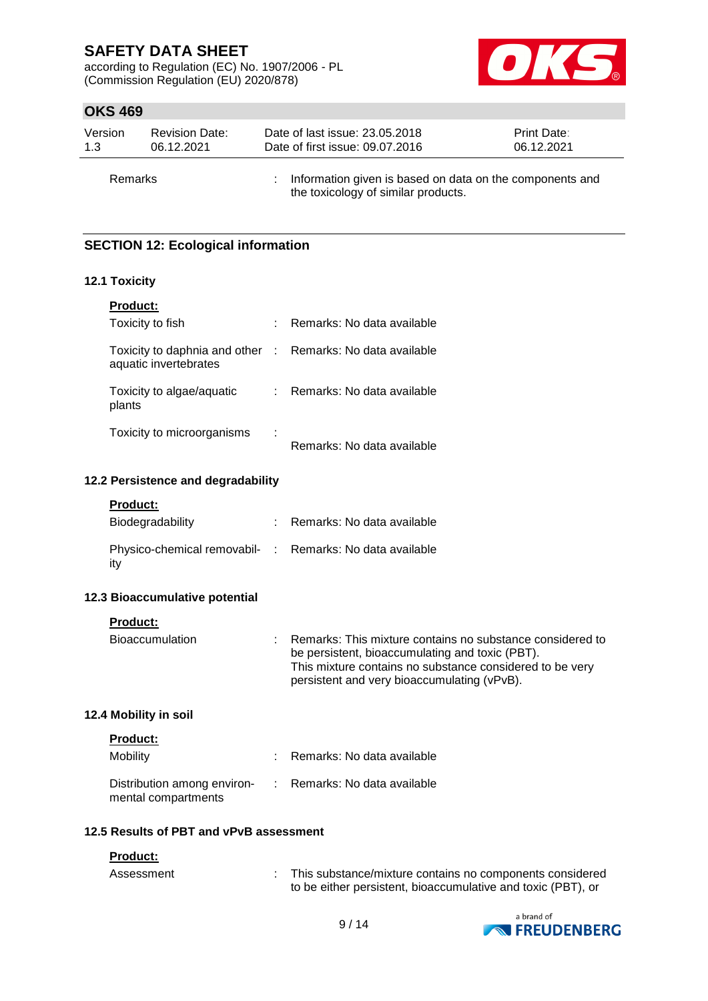according to Regulation (EC) No. 1907/2006 - PL (Commission Regulation (EU) 2020/878)



### **OKS 469**

| Version        | <b>Revision Date:</b> | Date of last issue: 23.05.2018                                                                    | Print Date: |
|----------------|-----------------------|---------------------------------------------------------------------------------------------------|-------------|
| 1.3            | 06.12.2021            | Date of first issue: 09.07.2016                                                                   | 06.12.2021  |
| <b>Remarks</b> |                       | : Information given is based on data on the components and<br>the toxicology of similar products. |             |

### **SECTION 12: Ecological information**

### **12.1 Toxicity**

| <b>Product:</b>                                                                     |   |                            |
|-------------------------------------------------------------------------------------|---|----------------------------|
| Toxicity to fish                                                                    |   | Remarks: No data available |
| Toxicity to daphnia and other : Remarks: No data available<br>aquatic invertebrates |   |                            |
| Toxicity to algae/aquatic<br>plants                                                 |   | Remarks: No data available |
| Toxicity to microorganisms                                                          | ÷ | Remarks: No data available |

#### **12.2 Persistence and degradability**

| Product: |
|----------|
|----------|

| Biodegradability                                                | : Remarks: No data available |
|-----------------------------------------------------------------|------------------------------|
| Physico-chemical removabil- : Remarks: No data available<br>ity |                              |

#### **12.3 Bioaccumulative potential**

**Product:**

| <b>Bioaccumulation</b> | Remarks: This mixture contains no substance considered to |
|------------------------|-----------------------------------------------------------|
|                        | be persistent, bioaccumulating and toxic (PBT).           |
|                        | This mixture contains no substance considered to be very  |
|                        | persistent and very bioaccumulating (vPvB).               |

### **12.4 Mobility in soil**

| <b>Product:</b>                                    |                              |
|----------------------------------------------------|------------------------------|
| Mobility                                           | : Remarks: No data available |
| Distribution among environ-<br>mental compartments | : Remarks: No data available |

#### **12.5 Results of PBT and vPvB assessment**

#### **Product:**

| Assessment | This substance/mixture contains no components considered     |
|------------|--------------------------------------------------------------|
|            | to be either persistent, bioaccumulative and toxic (PBT), or |

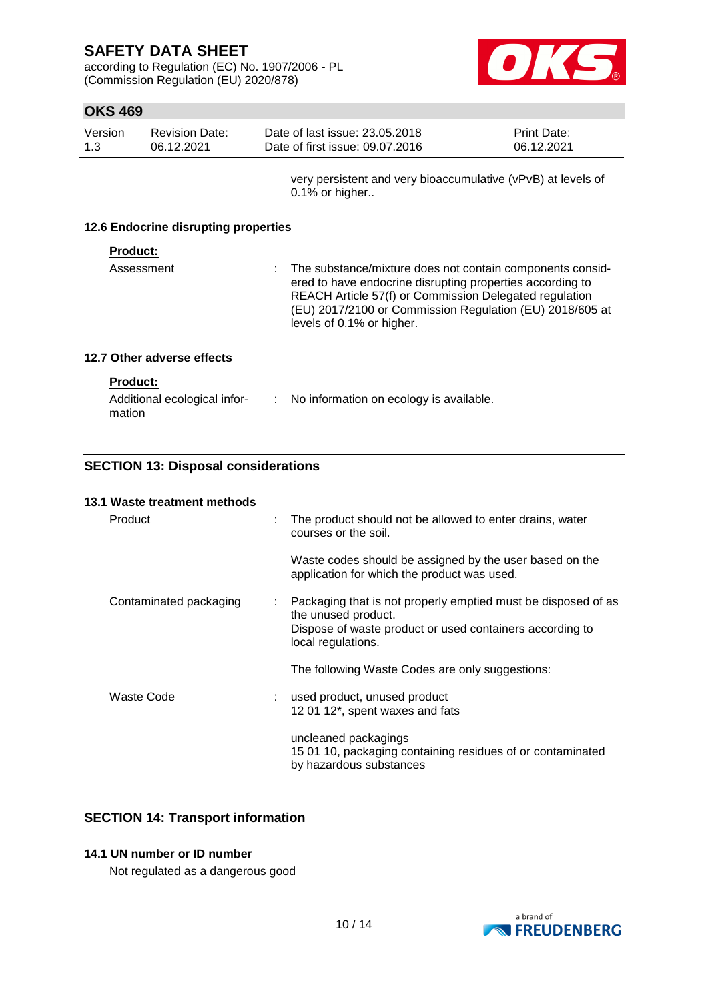according to Regulation (EC) No. 1907/2006 - PL (Commission Regulation (EU) 2020/878)



### **OKS 469**

| Version | Revision Date: | Date of last issue: 23.05.2018  | <b>Print Date:</b> |
|---------|----------------|---------------------------------|--------------------|
| -1.3    | 06.12.2021     | Date of first issue: 09.07.2016 | 06.12.2021         |
|         |                |                                 |                    |

very persistent and very bioaccumulative (vPvB) at levels of 0.1% or higher..

#### **12.6 Endocrine disrupting properties**

#### **Product:**

| ered to have endocrine disrupting properties according to<br>REACH Article 57(f) or Commission Delegated regulation<br>levels of 0.1% or higher. | Assessment | : The substance/mixture does not contain components consid-<br>(EU) 2017/2100 or Commission Regulation (EU) 2018/605 at |
|--------------------------------------------------------------------------------------------------------------------------------------------------|------------|-------------------------------------------------------------------------------------------------------------------------|
|--------------------------------------------------------------------------------------------------------------------------------------------------|------------|-------------------------------------------------------------------------------------------------------------------------|

### **12.7 Other adverse effects**

| <b>Product:</b>                        |                                         |
|----------------------------------------|-----------------------------------------|
| Additional ecological infor-<br>mation | No information on ecology is available. |

### **SECTION 13: Disposal considerations**

## **13.1 Waste treatment methods** Product : The product should not be allowed to enter drains, water courses or the soil. Waste codes should be assigned by the user based on the application for which the product was used. Contaminated packaging : Packaging that is not properly emptied must be disposed of as the unused product. Dispose of waste product or used containers according to local regulations. The following Waste Codes are only suggestions: Waste Code : used product, unused product 12 01 12\*, spent waxes and fats uncleaned packagings 15 01 10, packaging containing residues of or contaminated by hazardous substances

### **SECTION 14: Transport information**

### **14.1 UN number or ID number**

Not regulated as a dangerous good

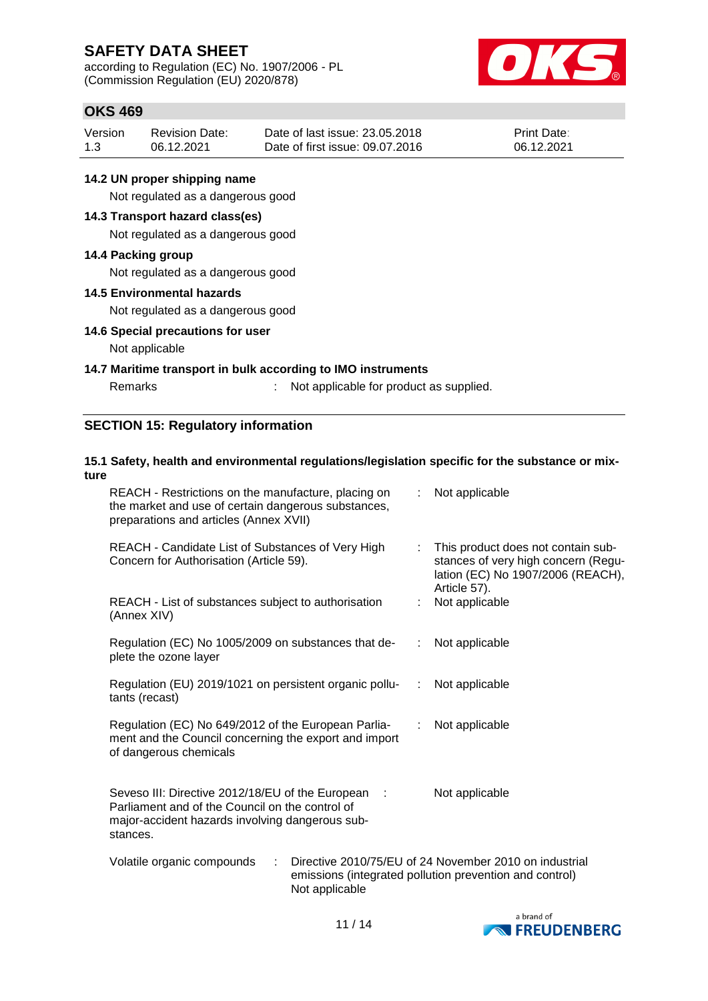according to Regulation (EC) No. 1907/2006 - PL (Commission Regulation (EU) 2020/878)



### **OKS 469**

| Version | <b>Revision Date:</b> | Date of last issue: 23,05,2018  | <b>Print Date:</b> |
|---------|-----------------------|---------------------------------|--------------------|
| 1.3     | 06.12.2021            | Date of first issue: 09.07.2016 | 06.12.2021         |

### **14.2 UN proper shipping name**

Not regulated as a dangerous good

### **14.3 Transport hazard class(es)**

Not regulated as a dangerous good

#### **14.4 Packing group**

Not regulated as a dangerous good

#### **14.5 Environmental hazards**

Not regulated as a dangerous good

### **14.6 Special precautions for user**

### Not applicable

#### **14.7 Maritime transport in bulk according to IMO instruments**

Remarks : Not applicable for product as supplied.

### **SECTION 15: Regulatory information**

#### **15.1 Safety, health and environmental regulations/legislation specific for the substance or mixture** REACH - Restrictions on the manufacture, placing on the market and use of certain dangerous substances, : Not applicable

| preparations and articles (Annex XVII)                                                                                                                               |                                                                                                                                      |
|----------------------------------------------------------------------------------------------------------------------------------------------------------------------|--------------------------------------------------------------------------------------------------------------------------------------|
| REACH - Candidate List of Substances of Very High<br>Concern for Authorisation (Article 59).                                                                         | This product does not contain sub-<br>t.<br>stances of very high concern (Regu-<br>lation (EC) No 1907/2006 (REACH),<br>Article 57). |
| REACH - List of substances subject to authorisation<br>(Annex XIV)                                                                                                   | Not applicable                                                                                                                       |
| Regulation (EC) No 1005/2009 on substances that de-<br>plete the ozone layer                                                                                         | Not applicable<br>t.                                                                                                                 |
| Regulation (EU) 2019/1021 on persistent organic pollu-<br>tants (recast)                                                                                             | Not applicable<br>÷.                                                                                                                 |
| Regulation (EC) No 649/2012 of the European Parlia-<br>ment and the Council concerning the export and import<br>of dangerous chemicals                               | Not applicable<br>÷                                                                                                                  |
| Seveso III: Directive 2012/18/EU of the European :<br>Parliament and of the Council on the control of<br>major-accident hazards involving dangerous sub-<br>stances. | Not applicable                                                                                                                       |
| Volatile organic compounds<br>÷<br>Not applicable                                                                                                                    | Directive 2010/75/EU of 24 November 2010 on industrial<br>emissions (integrated pollution prevention and control)                    |

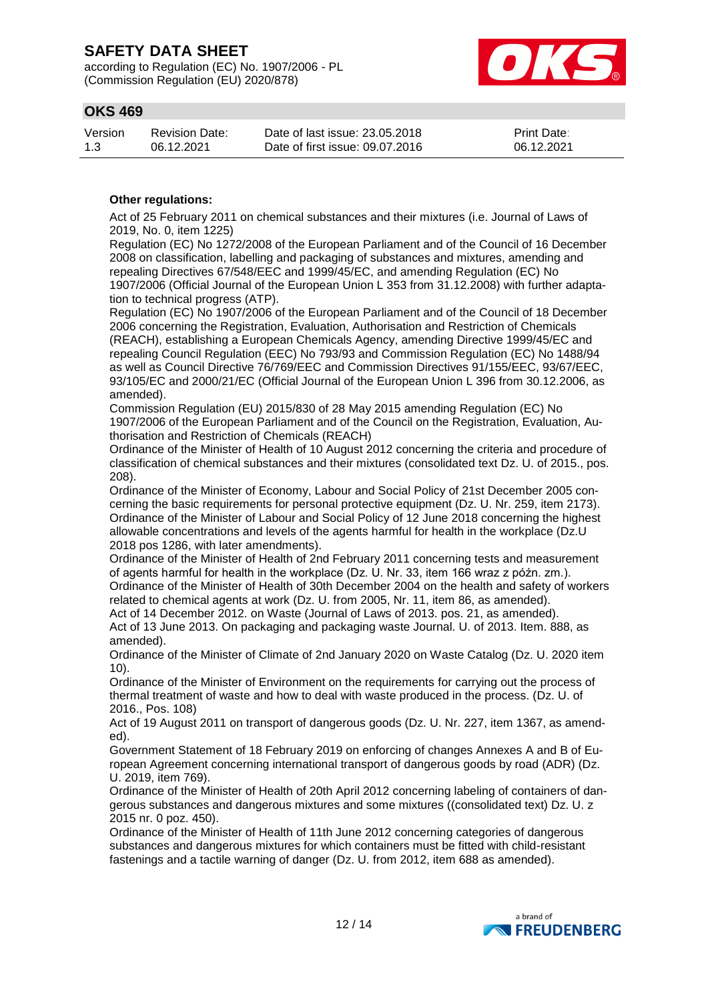according to Regulation (EC) No. 1907/2006 - PL (Commission Regulation (EU) 2020/878)



### **OKS 469**

| Version | <b>Revision Date:</b> | Date of last issue: 23,05,2018  | <b>Print Date:</b> |
|---------|-----------------------|---------------------------------|--------------------|
| 1.3     | 06.12.2021            | Date of first issue: 09.07.2016 | 06.12.2021         |

### **Other regulations:**

Act of 25 February 2011 on chemical substances and their mixtures (i.e. Journal of Laws of 2019, No. 0, item 1225)

Regulation (EC) No 1272/2008 of the European Parliament and of the Council of 16 December 2008 on classification, labelling and packaging of substances and mixtures, amending and repealing Directives 67/548/EEC and 1999/45/EC, and amending Regulation (EC) No 1907/2006 (Official Journal of the European Union L 353 from 31.12.2008) with further adaptation to technical progress (ATP).

Regulation (EC) No 1907/2006 of the European Parliament and of the Council of 18 December 2006 concerning the Registration, Evaluation, Authorisation and Restriction of Chemicals (REACH), establishing a European Chemicals Agency, amending Directive 1999/45/EC and repealing Council Regulation (EEC) No 793/93 and Commission Regulation (EC) No 1488/94 as well as Council Directive 76/769/EEC and Commission Directives 91/155/EEC, 93/67/EEC, 93/105/EC and 2000/21/EC (Official Journal of the European Union L 396 from 30.12.2006, as amended).

Commission Regulation (EU) 2015/830 of 28 May 2015 amending Regulation (EC) No 1907/2006 of the European Parliament and of the Council on the Registration, Evaluation, Authorisation and Restriction of Chemicals (REACH)

Ordinance of the Minister of Health of 10 August 2012 concerning the criteria and procedure of classification of chemical substances and their mixtures (consolidated text Dz. U. of 2015., pos. 208).

Ordinance of the Minister of Economy, Labour and Social Policy of 21st December 2005 concerning the basic requirements for personal protective equipment (Dz. U. Nr. 259, item 2173). Ordinance of the Minister of Labour and Social Policy of 12 June 2018 concerning the highest allowable concentrations and levels of the agents harmful for health in the workplace (Dz.U 2018 pos 1286, with later amendments).

Ordinance of the Minister of Health of 2nd February 2011 concerning tests and measurement of agents harmful for health in the workplace (Dz. U. Nr. 33, item 166 wraz z późn. zm.). Ordinance of the Minister of Health of 30th December 2004 on the health and safety of workers related to chemical agents at work (Dz. U. from 2005, Nr. 11, item 86, as amended).

Act of 14 December 2012. on Waste (Journal of Laws of 2013. pos. 21, as amended). Act of 13 June 2013. On packaging and packaging waste Journal. U. of 2013. Item. 888, as amended).

Ordinance of the Minister of Climate of 2nd January 2020 on Waste Catalog (Dz. U. 2020 item 10).

Ordinance of the Minister of Environment on the requirements for carrying out the process of thermal treatment of waste and how to deal with waste produced in the process. (Dz. U. of 2016., Pos. 108)

Act of 19 August 2011 on transport of dangerous goods (Dz. U. Nr. 227, item 1367, as amended).

Government Statement of 18 February 2019 on enforcing of changes Annexes A and B of European Agreement concerning international transport of dangerous goods by road (ADR) (Dz. U. 2019, item 769).

Ordinance of the Minister of Health of 20th April 2012 concerning labeling of containers of dangerous substances and dangerous mixtures and some mixtures ((consolidated text) Dz. U. z 2015 nr. 0 poz. 450).

Ordinance of the Minister of Health of 11th June 2012 concerning categories of dangerous substances and dangerous mixtures for which containers must be fitted with child-resistant fastenings and a tactile warning of danger (Dz. U. from 2012, item 688 as amended).

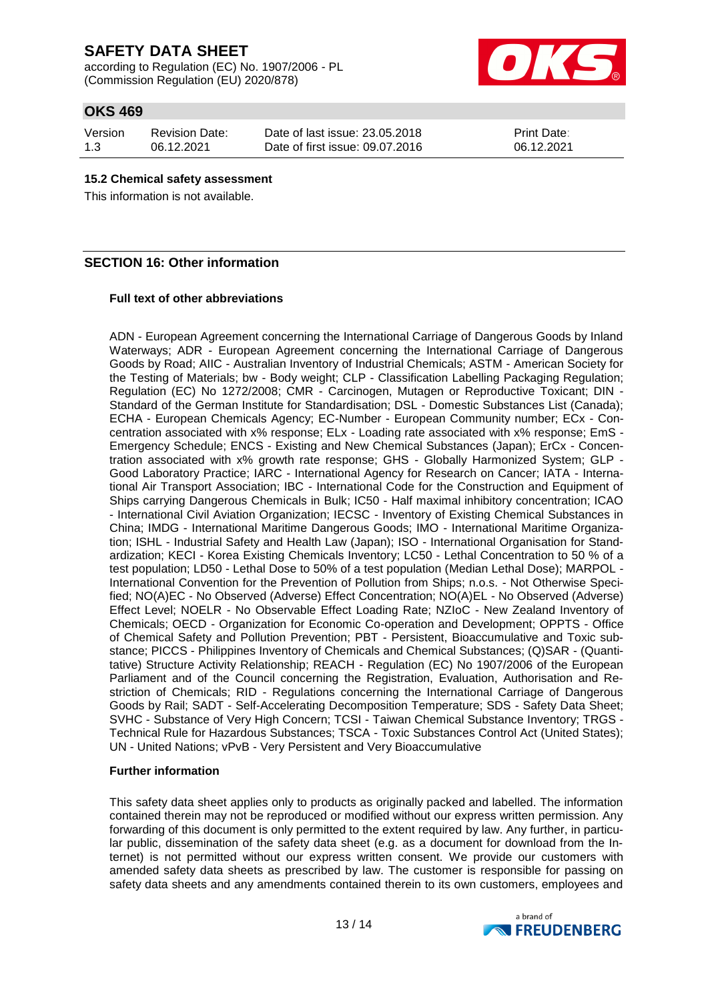according to Regulation (EC) No. 1907/2006 - PL (Commission Regulation (EU) 2020/878)



## **OKS 469**

Version 1.3 Revision Date: 06.12.2021

Date of last issue: 23.05.2018 Date of first issue: 09.07.2016

Print Date: 06.12.2021

#### **15.2 Chemical safety assessment**

This information is not available.

### **SECTION 16: Other information**

### **Full text of other abbreviations**

ADN - European Agreement concerning the International Carriage of Dangerous Goods by Inland Waterways; ADR - European Agreement concerning the International Carriage of Dangerous Goods by Road; AIIC - Australian Inventory of Industrial Chemicals; ASTM - American Society for the Testing of Materials; bw - Body weight; CLP - Classification Labelling Packaging Regulation; Regulation (EC) No 1272/2008; CMR - Carcinogen, Mutagen or Reproductive Toxicant; DIN - Standard of the German Institute for Standardisation; DSL - Domestic Substances List (Canada); ECHA - European Chemicals Agency; EC-Number - European Community number; ECx - Concentration associated with x% response; ELx - Loading rate associated with x% response; EmS - Emergency Schedule; ENCS - Existing and New Chemical Substances (Japan); ErCx - Concentration associated with x% growth rate response; GHS - Globally Harmonized System; GLP - Good Laboratory Practice; IARC - International Agency for Research on Cancer; IATA - International Air Transport Association; IBC - International Code for the Construction and Equipment of Ships carrying Dangerous Chemicals in Bulk; IC50 - Half maximal inhibitory concentration; ICAO - International Civil Aviation Organization; IECSC - Inventory of Existing Chemical Substances in China; IMDG - International Maritime Dangerous Goods; IMO - International Maritime Organization; ISHL - Industrial Safety and Health Law (Japan); ISO - International Organisation for Standardization; KECI - Korea Existing Chemicals Inventory; LC50 - Lethal Concentration to 50 % of a test population; LD50 - Lethal Dose to 50% of a test population (Median Lethal Dose); MARPOL - International Convention for the Prevention of Pollution from Ships; n.o.s. - Not Otherwise Specified; NO(A)EC - No Observed (Adverse) Effect Concentration; NO(A)EL - No Observed (Adverse) Effect Level; NOELR - No Observable Effect Loading Rate; NZIoC - New Zealand Inventory of Chemicals; OECD - Organization for Economic Co-operation and Development; OPPTS - Office of Chemical Safety and Pollution Prevention; PBT - Persistent, Bioaccumulative and Toxic substance; PICCS - Philippines Inventory of Chemicals and Chemical Substances; (Q)SAR - (Quantitative) Structure Activity Relationship; REACH - Regulation (EC) No 1907/2006 of the European Parliament and of the Council concerning the Registration, Evaluation, Authorisation and Restriction of Chemicals; RID - Regulations concerning the International Carriage of Dangerous Goods by Rail; SADT - Self-Accelerating Decomposition Temperature; SDS - Safety Data Sheet; SVHC - Substance of Very High Concern; TCSI - Taiwan Chemical Substance Inventory; TRGS - Technical Rule for Hazardous Substances; TSCA - Toxic Substances Control Act (United States); UN - United Nations; vPvB - Very Persistent and Very Bioaccumulative

### **Further information**

This safety data sheet applies only to products as originally packed and labelled. The information contained therein may not be reproduced or modified without our express written permission. Any forwarding of this document is only permitted to the extent required by law. Any further, in particular public, dissemination of the safety data sheet (e.g. as a document for download from the Internet) is not permitted without our express written consent. We provide our customers with amended safety data sheets as prescribed by law. The customer is responsible for passing on safety data sheets and any amendments contained therein to its own customers, employees and